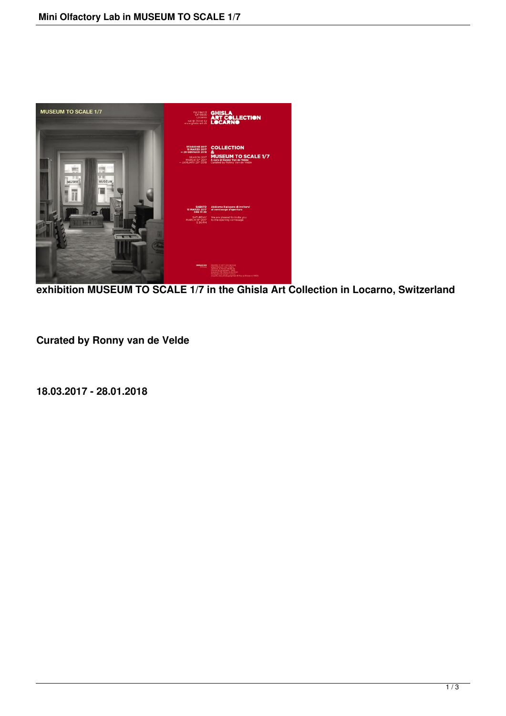

**exhibition MUSEUM TO SCALE 1/7 in the Ghisla Art Collection in Locarno, Switzerland**

**Curated by Ronny van de Velde**

**18.03.2017 - 28.01.2018**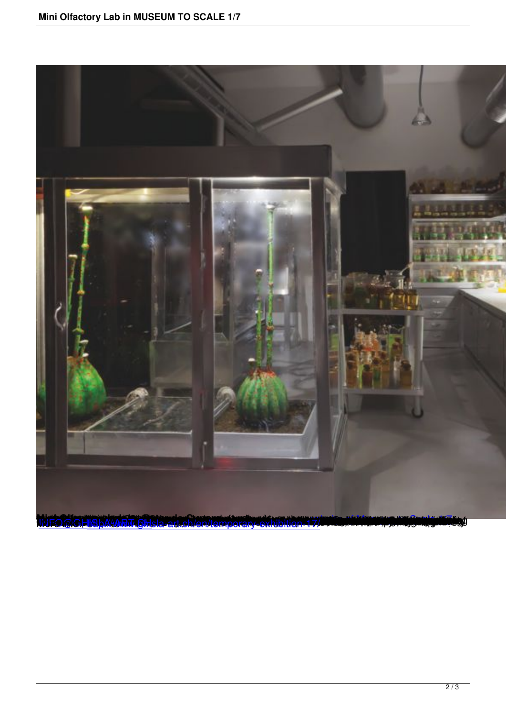